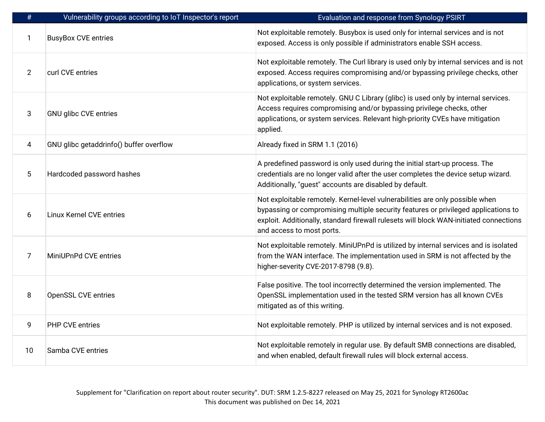| $\#$           | Vulnerability groups according to IoT Inspector's report | Evaluation and response from Synology PSIRT                                                                                                                                                                                                                                                |
|----------------|----------------------------------------------------------|--------------------------------------------------------------------------------------------------------------------------------------------------------------------------------------------------------------------------------------------------------------------------------------------|
| 1              | <b>BusyBox CVE entries</b>                               | Not exploitable remotely. Busybox is used only for internal services and is not<br>exposed. Access is only possible if administrators enable SSH access.                                                                                                                                   |
| $\overline{2}$ | curl CVE entries                                         | Not exploitable remotely. The Curl library is used only by internal services and is not<br>exposed. Access requires compromising and/or bypassing privilege checks, other<br>applications, or system services.                                                                             |
| 3              | <b>GNU glibc CVE entries</b>                             | Not exploitable remotely. GNU C Library (glibc) is used only by internal services.<br>Access requires compromising and/or bypassing privilege checks, other<br>applications, or system services. Relevant high-priority CVEs have mitigation<br>applied.                                   |
| 4              | GNU glibc getaddrinfo() buffer overflow                  | Already fixed in SRM 1.1 (2016)                                                                                                                                                                                                                                                            |
| 5              | Hardcoded password hashes                                | A predefined password is only used during the initial start-up process. The<br>credentials are no longer valid after the user completes the device setup wizard.<br>Additionally, "guest" accounts are disabled by default.                                                                |
| 6              | <b>Linux Kernel CVE entries</b>                          | Not exploitable remotely. Kernel-level vulnerabilities are only possible when<br>bypassing or compromising multiple security features or privileged applications to<br>exploit. Additionally, standard firewall rulesets will block WAN-initiated connections<br>and access to most ports. |
| $\overline{7}$ | MiniUPnPd CVE entries                                    | Not exploitable remotely. MiniUPnPd is utilized by internal services and is isolated<br>from the WAN interface. The implementation used in SRM is not affected by the<br>higher-severity CVE-2017-8798 (9.8).                                                                              |
| 8              | <b>OpenSSL CVE entries</b>                               | False positive. The tool incorrectly determined the version implemented. The<br>OpenSSL implementation used in the tested SRM version has all known CVEs<br>mitigated as of this writing.                                                                                                  |
| 9              | <b>PHP CVE entries</b>                                   | Not exploitable remotely. PHP is utilized by internal services and is not exposed.                                                                                                                                                                                                         |
| 10             | Samba CVE entries                                        | Not exploitable remotely in regular use. By default SMB connections are disabled,<br>and when enabled, default firewall rules will block external access.                                                                                                                                  |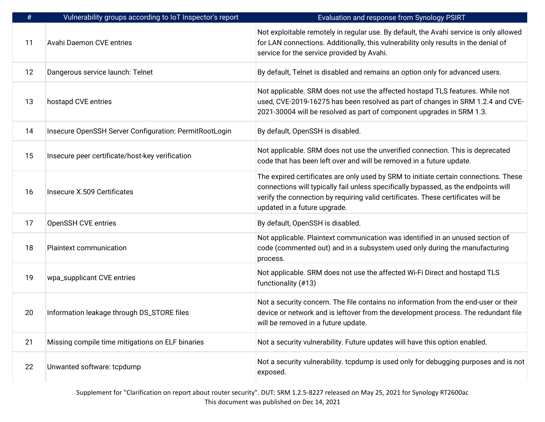| #  | Vulnerability groups according to IoT Inspector's report | Evaluation and response from Synology PSIRT                                                                                                                                                                                                                                                      |
|----|----------------------------------------------------------|--------------------------------------------------------------------------------------------------------------------------------------------------------------------------------------------------------------------------------------------------------------------------------------------------|
| 11 | <b>Avahi Daemon CVE entries</b>                          | Not exploitable remotely in regular use. By default, the Avahi service is only allowed<br>for LAN connections. Additionally, this vulnerability only results in the denial of<br>service for the service provided by Avahi.                                                                      |
| 12 | Dangerous service launch: Telnet                         | By default, Telnet is disabled and remains an option only for advanced users.                                                                                                                                                                                                                    |
| 13 | hostapd CVE entries                                      | Not applicable. SRM does not use the affected hostapd TLS features. While not<br>used, CVE-2019-16275 has been resolved as part of changes in SRM 1.2.4 and CVE-<br>2021-30004 will be resolved as part of component upgrades in SRM 1.3.                                                        |
| 14 | Insecure OpenSSH Server Configuration: PermitRootLogin   | By default, OpenSSH is disabled.                                                                                                                                                                                                                                                                 |
| 15 | Insecure peer certificate/host-key verification          | Not applicable. SRM does not use the unverified connection. This is deprecated<br>code that has been left over and will be removed in a future update.                                                                                                                                           |
| 16 | Insecure X.509 Certificates                              | The expired certificates are only used by SRM to initiate certain connections. These<br>connections will typically fail unless specifically bypassed, as the endpoints will<br>verify the connection by requiring valid certificates. These certificates will be<br>updated in a future upgrade. |
| 17 | OpenSSH CVE entries                                      | By default, OpenSSH is disabled.                                                                                                                                                                                                                                                                 |
| 18 | <b>Plaintext communication</b>                           | Not applicable. Plaintext communication was identified in an unused section of<br>code (commented out) and in a subsystem used only during the manufacturing<br>process.                                                                                                                         |
| 19 | wpa_supplicant CVE entries                               | Not applicable. SRM does not use the affected Wi-Fi Direct and hostapd TLS<br>functionality (#13)                                                                                                                                                                                                |
| 20 | Information leakage through DS_STORE files               | Not a security concern. The file contains no information from the end-user or their<br>device or network and is leftover from the development process. The redundant file<br>will be removed in a future update.                                                                                 |
| 21 | Missing compile time mitigations on ELF binaries         | Not a security vulnerability. Future updates will have this option enabled.                                                                                                                                                                                                                      |
| 22 | Unwanted software: tcpdump                               | Not a security vulnerability. tcpdump is used only for debugging purposes and is not<br>exposed.                                                                                                                                                                                                 |

Supplement for "Clarification on report about router security". DUT: SRM 1.2.5-8227 released on May 25, 2021 for Synology RT2600ac This document was published on Dec 14, 2021